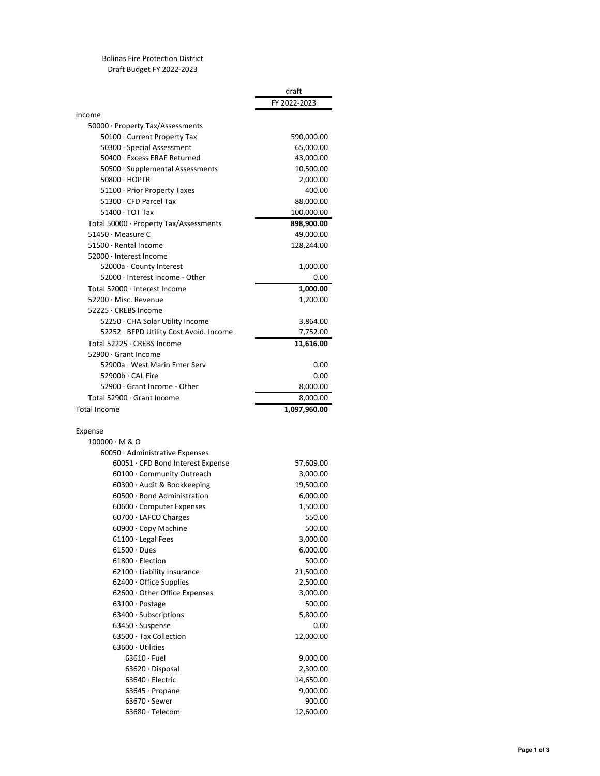Bolinas Fire Protection District Draft Budget FY 2022-2023

draft

|                                                   | urart<br>FY 2022-2023 |
|---------------------------------------------------|-----------------------|
| Income                                            |                       |
| 50000 · Property Tax/Assessments                  |                       |
| 50100 · Current Property Tax                      | 590,000.00            |
| 50300 · Special Assessment                        | 65,000.00             |
| 50400 · Excess ERAF Returned                      | 43,000.00             |
| 50500 · Supplemental Assessments                  | 10,500.00             |
| 50800 · HOPTR                                     | 2,000.00              |
| 51100 · Prior Property Taxes                      | 400.00                |
| 51300 · CFD Parcel Tax                            | 88,000.00             |
| $51400 \cdot TOT$ Tax                             | 100,000.00            |
| Total 50000 · Property Tax/Assessments            | 898,900.00            |
| 51450 · Measure C                                 | 49,000.00             |
| 51500 · Rental Income                             | 128,244.00            |
| 52000 · Interest Income                           |                       |
| 52000a · County Interest                          | 1,000.00              |
| 52000 · Interest Income - Other                   | 0.00                  |
| Total 52000 · Interest Income                     | 1,000.00              |
| 52200 · Misc. Revenue                             | 1,200.00              |
| 52225 · CREBS Income                              |                       |
| 52250 · CHA Solar Utility Income                  | 3,864.00              |
| 52252 · BFPD Utility Cost Avoid. Income           | 7,752.00              |
| Total 52225 · CREBS Income                        | 11,616.00             |
| 52900 · Grant Income                              |                       |
| 52900a · West Marin Emer Serv                     |                       |
|                                                   | 0.00                  |
| 52900b · CAL Fire<br>52900 · Grant Income - Other | 0.00                  |
|                                                   | 8,000.00              |
| Total 52900 · Grant Income                        | 8,000.00              |
| Total Income                                      |                       |
|                                                   | 1,097,960.00          |
|                                                   |                       |
| Expense<br>$100000 \cdot M & O$                   |                       |
| $60050 \cdot$ Administrative Expenses             |                       |
|                                                   |                       |
| $60051 \cdot$ CFD Bond Interest Expense           | 57,609.00             |
| 60100 · Community Outreach                        | 3,000.00              |
| 60300 · Audit & Bookkeeping                       | 19,500.00             |
| 60500 · Bond Administration                       | 6,000.00              |
| 60600 · Computer Expenses                         | 1,500.00              |
| 60700 · LAFCO Charges                             | 550.00                |
| 60900 · Copy Machine                              | 500.00                |
| $61100 \cdot$ Legal Fees                          | 3,000.00              |
| $61500 \cdot$ Dues                                | 6,000.00              |
| $61800 \cdot$ Election                            | 500.00                |
| $62100 \cdot$ Liability Insurance                 | 21,500.00             |
| $62400 \cdot$ Office Supplies                     | 2,500.00              |
| $62600 \cdot$ Other Office Expenses               | 3,000.00              |
| $63100 \cdot$ Postage                             | 500.00                |
| $63400 \cdot$ Subscriptions                       | 5,800.00              |
| 63450 · Suspense                                  | 0.00                  |
| 63500 · Tax Collection                            | 12,000.00             |
| $63600 \cdot$ Utilities                           |                       |
| $63610 \cdot$ Fuel                                | 9,000.00              |
| $63620 \cdot$ Disposal                            | 2,300.00              |
| 63640 · Electric                                  | 14,650.00             |
| $63645 \cdot$ Propane                             | 9,000.00              |
| $63670 \cdot$ Sewer                               | 900.00                |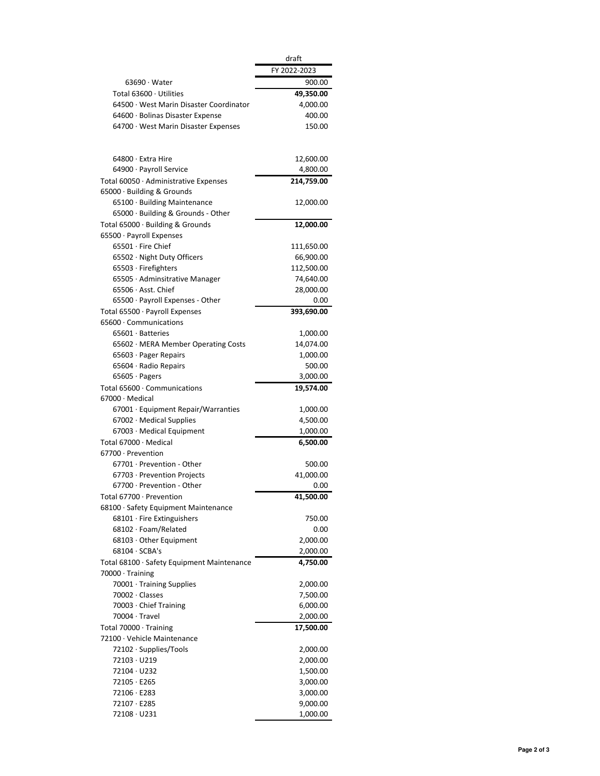|                                                                      | draft<br>FY 2022-2023 |
|----------------------------------------------------------------------|-----------------------|
| $63690 \cdot Water$                                                  | 900.00                |
| Total 63600 · Utilities                                              | 49,350.00             |
| 64500 · West Marin Disaster Coordinator                              | 4,000.00              |
| 64600 · Bolinas Disaster Expense                                     | 400.00                |
| $64700 \cdot$ West Marin Disaster Expenses                           | 150.00                |
|                                                                      |                       |
| 64800 · Extra Hire                                                   | 12,600.00             |
| 64900 · Payroll Service                                              | 4,800.00              |
| Total 60050 · Administrative Expenses                                | 214,759.00            |
| 65000 · Building & Grounds                                           |                       |
| 65100 · Building Maintenance                                         | 12,000.00             |
| 65000 · Building & Grounds - Other                                   |                       |
| Total $65000 \cdot$ Building & Grounds<br>65500 · Payroll Expenses   | 12,000.00             |
| $65501 \cdot$ Fire Chief                                             | 111,650.00            |
| 65502 · Night Duty Officers                                          | 66,900.00             |
| 65503 · Firefighters                                                 | 112,500.00            |
| 65505 · Adminsitrative Manager                                       | 74,640.00             |
| 65506 · Asst. Chief                                                  | 28,000.00             |
| $65500 \cdot$ Payroll Expenses - Other                               | 0.00                  |
| Total 65500 · Payroll Expenses<br>65600 · Communications             | 393,690.00            |
| $65601 \cdot$ Batteries                                              | 1,000.00              |
| 65602 · MERA Member Operating Costs                                  | 14,074.00             |
| $65603 \cdot$ Pager Repairs                                          | 1,000.00              |
| 65604 · Radio Repairs                                                | 500.00                |
| $65605 \cdot$ Pagers                                                 | 3,000.00              |
| Total 65600 · Communications                                         | 19,574.00             |
| $67000 \cdot$ Medical                                                |                       |
| 67001 · Equipment Repair/Warranties                                  | 1,000.00              |
| 67002 · Medical Supplies                                             | 4,500.00              |
| $67003 \cdot$ Medical Equipment                                      | 1,000.00              |
| Total 67000 · Medical<br>67700 · Prevention                          | 6,500.00              |
| 67701 · Prevention - Other                                           | 500.00                |
| 67703 · Prevention Projects                                          | 41,000.00             |
| 67700 · Prevention - Other                                           | 0.00                  |
| Total 67700 · Prevention                                             | 41,500.00             |
| 68100 · Safety Equipment Maintenance                                 |                       |
| $68101 \cdot$ Fire Extinguishers                                     | 750.00                |
| $68102 \cdot$ Foam/Related                                           | 0.00                  |
| $68103 \cdot$ Other Equipment                                        | 2,000.00              |
| $68104 \cdot SCBA's$                                                 | 2,000.00              |
| Total 68100 · Safety Equipment Maintenance<br>$70000 \cdot$ Training | 4,750.00              |
| 70001 · Training Supplies                                            | 2,000.00              |
| 70002 · Classes                                                      | 7,500.00              |
| 70003 · Chief Training                                               | 6,000.00              |
| 70004 · Travel                                                       | 2,000.00              |
| Total 70000 · Training                                               | 17,500.00             |
| 72100 · Vehicle Maintenance                                          |                       |
| $72102 \cdot$ Supplies/Tools                                         | 2,000.00              |
| 72103 · U219                                                         | 2,000.00              |
| $72104 \cdot U232$                                                   | 1,500.00              |
| 72105 · E265                                                         | 3,000.00              |
| 72106 · E283                                                         | 3,000.00              |
| 72107 · E285                                                         | 9,000.00              |
| $72108 \cdot U231$                                                   | 1,000.00              |